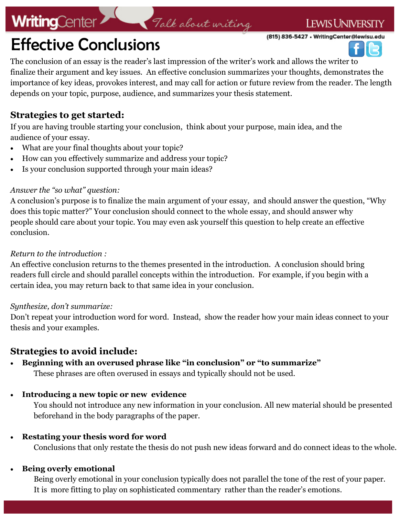# **WritingCenter>**

### **LEWIS UNIVERSITY**

(815) 836-5427 • WritingCenter@lewisu.edu

# Effective Conclusions

The conclusion of an essay is the reader's last impression of the writer's work and allows the writer to finalize their argument and key issues. An effective conclusion summarizes your thoughts, demonstrates the importance of key ideas, provokes interest, and may call for action or future review from the reader. The length depends on your topic, purpose, audience, and summarizes your thesis statement.

Talk about writing

## **Strategies to get started:**

If you are having trouble starting your conclusion, think about your purpose, main idea, and the audience of your essay.

- What are your final thoughts about your topic?
- How can you effectively summarize and address your topic?
- Is your conclusion supported through your main ideas?

#### *Answer the "so what" question:*

A conclusion's purpose is to finalize the main argument of your essay, and should answer the question, "Why does this topic matter?" Your conclusion should connect to the whole essay, and should answer why people should care about your topic. You may even ask yourself this question to help create an effective conclusion.

#### *Return to the introduction :*

An effective conclusion returns to the themes presented in the introduction. A conclusion should bring readers full circle and should parallel concepts within the introduction. For example, if you begin with a certain idea, you may return back to that same idea in your conclusion.

#### *Synthesize, don't summarize:*

Don't repeat your introduction word for word. Instead, show the reader how your main ideas connect to your thesis and your examples.

## **Strategies to avoid include:**

### **Beginning with an overused phrase like "in conclusion" or "to summarize"**

These phrases are often overused in essays and typically should not be used.

#### **Introducing a new topic or new evidence**

You should not introduce any new information in your conclusion. All new material should be presented beforehand in the body paragraphs of the paper.

#### **Restating your thesis word for word**

Conclusions that only restate the thesis do not push new ideas forward and do connect ideas to the whole.

#### **Being overly emotional**

Being overly emotional in your conclusion typically does not parallel the tone of the rest of your paper. It is more fitting to play on sophisticated commentary rather than the reader's emotions.